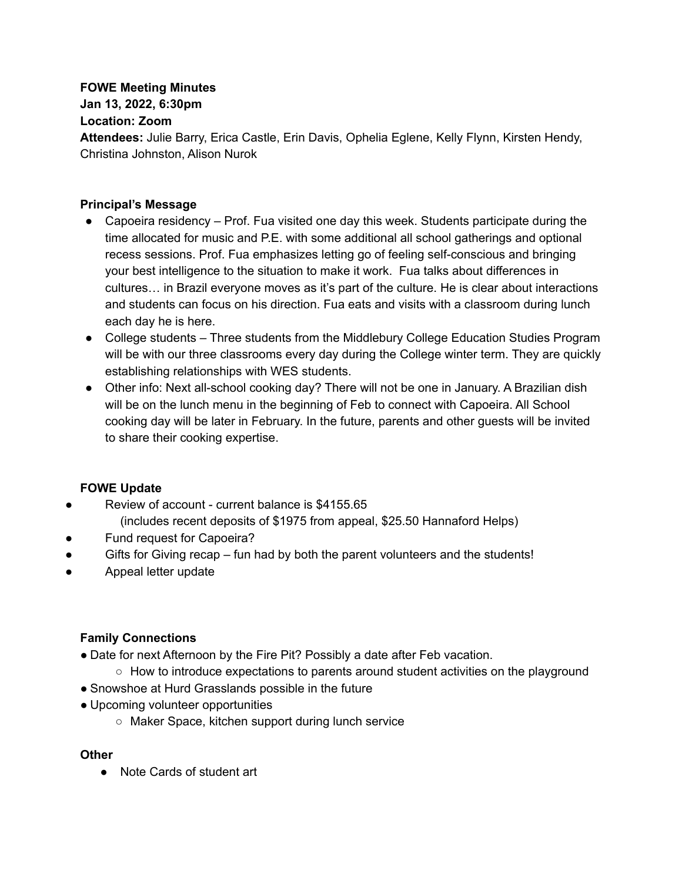## **FOWE Meeting Minutes**

**Jan 13, 2022, 6:30pm**

#### **Location: Zoom**

**Attendees:** Julie Barry, Erica Castle, Erin Davis, Ophelia Eglene, Kelly Flynn, Kirsten Hendy, Christina Johnston, Alison Nurok

#### **Principal's Message**

- Capoeira residency Prof. Fua visited one day this week. Students participate during the time allocated for music and P.E. with some additional all school gatherings and optional recess sessions. Prof. Fua emphasizes letting go of feeling self-conscious and bringing your best intelligence to the situation to make it work. Fua talks about differences in cultures… in Brazil everyone moves as it's part of the culture. He is clear about interactions and students can focus on his direction. Fua eats and visits with a classroom during lunch each day he is here.
- College students Three students from the Middlebury College Education Studies Program will be with our three classrooms every day during the College winter term. They are quickly establishing relationships with WES students.
- Other info: Next all-school cooking day? There will not be one in January. A Brazilian dish will be on the lunch menu in the beginning of Feb to connect with Capoeira. All School cooking day will be later in February. In the future, parents and other guests will be invited to share their cooking expertise.

## **FOWE Update**

- Review of account current balance is \$4155.65 (includes recent deposits of \$1975 from appeal, \$25.50 Hannaford Helps)
- Fund request for Capoeira?
- Gifts for Giving recap fun had by both the parent volunteers and the students!
- Appeal letter update

## **Family Connections**

- Date for next Afternoon by the Fire Pit? Possibly a date after Feb vacation.
	- $\circ$  How to introduce expectations to parents around student activities on the playground
- Snowshoe at Hurd Grasslands possible in the future
- Upcoming volunteer opportunities
	- Maker Space, kitchen support during lunch service

#### **Other**

● Note Cards of student art